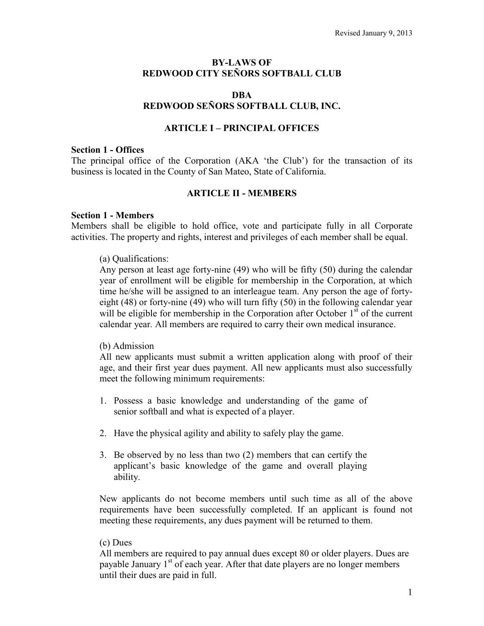## **BY-LAWS OF REDWOOD CITY SEÑORS SOFTBALL CLUB**

#### **DBA REDWOOD SEÑORS SOFTBALL CLUB, INC.**

## **ARTICLE I – PRINCIPAL OFFICES**

#### **Section 1 - Offices**

The principal office of the Corporation (AKA 'the Club') for the transaction of its business is located in the County of San Mateo, State of California.

## **ARTICLE II - MEMBERS**

#### **Section 1 - Members**

Members shall be eligible to hold office, vote and participate fully in all Corporate activities. The property and rights, interest and privileges of each member shall be equal.

#### (a) Qualifications:

Any person at least age forty-nine (49) who will be fifty (50) during the calendar year of enrollment will be eligible for membership in the Corporation, at which time he/she will be assigned to an interleague team. Any person the age of fortyeight (48) or forty-nine (49) who will turn fifty (50) in the following calendar year will be eligible for membership in the Corporation after October  $1<sup>st</sup>$  of the current calendar year*.* All members are required to carry their own medical insurance.

#### (b) Admission

All new applicants must submit a written application along with proof of their age, and their first year dues payment. All new applicants must also successfully meet the following minimum requirements:

- 1. Possess a basic knowledge and understanding of the game of senior softball and what is expected of a player.
- 2. Have the physical agility and ability to safely play the game.
- 3. Be observed by no less than two (2) members that can certify the applicant's basic knowledge of the game and overall playing ability.

New applicants do not become members until such time as all of the above requirements have been successfully completed. If an applicant is found not meeting these requirements, any dues payment will be returned to them.

#### (c) Dues

All members are required to pay annual dues except 80 or older players. Dues are payable January  $1<sup>st</sup>$  of each year. After that date players are no longer members until their dues are paid in full.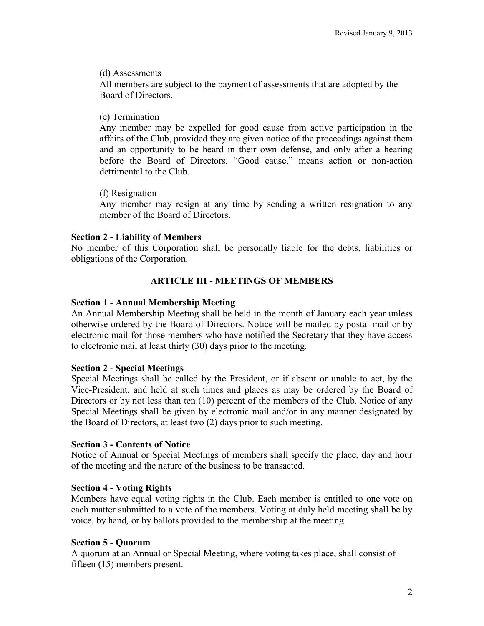## (d) Assessments

All members are subject to the payment of assessments that are adopted by the Board of Directors.

# (e) Termination

Any member may be expelled for good cause from active participation in the affairs of the Club, provided they are given notice of the proceedings against them and an opportunity to be heard in their own defense, and only after a hearing before the Board of Directors. "Good cause," means action or non-action detrimental to the Club.

# (f) Resignation

Any member may resign at any time by sending a written resignation to any member of the Board of Directors.

## **Section 2 - Liability of Members**

No member of this Corporation shall be personally liable for the debts, liabilities or obligations of the Corporation.

# **ARTICLE III - MEETINGS OF MEMBERS**

# **Section 1 - Annual Membership Meeting**

An Annual Membership Meeting shall be held in the month of January each year unless otherwise ordered by the Board of Directors. Notice will be mailed by postal mail or by electronic mail for those members who have notified the Secretary that they have access to electronic mail at least thirty (30) days prior to the meeting.

# **Section 2 - Special Meetings**

Special Meetings shall be called by the President, or if absent or unable to act, by the Vice-President, and held at such times and places as may be ordered by the Board of Directors or by not less than ten (10) percent of the members of the Club. Notice of any Special Meetings shall be given by electronic mail and/or in any manner designated by the Board of Directors, at least two (2) days prior to such meeting.

## **Section 3 - Contents of Notice**

Notice of Annual or Special Meetings of members shall specify the place, day and hour of the meeting and the nature of the business to be transacted.

# **Section 4 - Voting Rights**

Members have equal voting rights in the Club. Each member is entitled to one vote on each matter submitted to a vote of the members. Voting at duly held meeting shall be by voice, by hand*,* or by ballots provided to the membership at the meeting.

# **Section 5 - Quorum**

A quorum at an Annual or Special Meeting, where voting takes place, shall consist of fifteen (15) members present.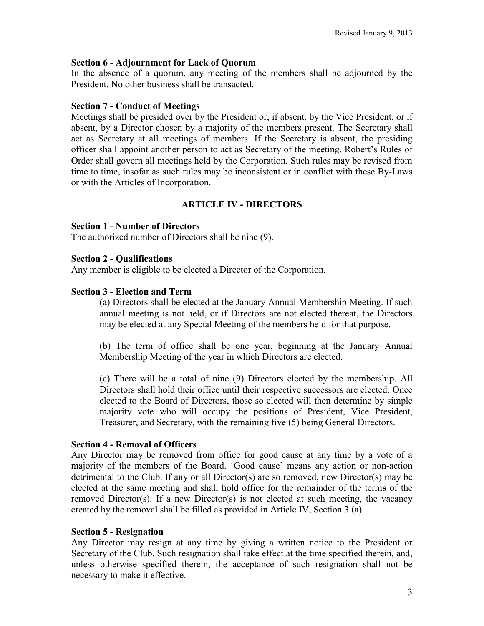## **Section 6 - Adjournment for Lack of Quorum**

In the absence of a quorum, any meeting of the members shall be adjourned by the President. No other business shall be transacted.

## **Section 7 - Conduct of Meetings**

Meetings shall be presided over by the President or, if absent, by the Vice President, or if absent, by a Director chosen by a majority of the members present. The Secretary shall act as Secretary at all meetings of members. If the Secretary is absent, the presiding officer shall appoint another person to act as Secretary of the meeting. Robert's Rules of Order shall govern all meetings held by the Corporation. Such rules may be revised from time to time, insofar as such rules may be inconsistent or in conflict with these By-Laws or with the Articles of Incorporation.

# **ARTICLE IV - DIRECTORS**

## **Section 1 - Number of Directors**

The authorized number of Directors shall be nine (9).

## **Section 2 - Qualifications**

Any member is eligible to be elected a Director of the Corporation.

## **Section 3 - Election and Term**

(a) Directors shall be elected at the January Annual Membership Meeting. If such annual meeting is not held, or if Directors are not elected thereat, the Directors may be elected at any Special Meeting of the members held for that purpose.

(b) The term of office shall be one year, beginning at the January Annual Membership Meeting of the year in which Directors are elected.

(c) There will be a total of nine (9) Directors elected by the membership. All Directors shall hold their office until their respective successors are elected. Once elected to the Board of Directors, those so elected will then determine by simple majority vote who will occupy the positions of President, Vice President, Treasurer, and Secretary, with the remaining five (5) being General Directors.

## **Section 4 - Removal of Officers**

Any Director may be removed from office for good cause at any time by a vote of a majority of the members of the Board. 'Good cause' means any action or non-action detrimental to the Club. If any or all Director(s) are so removed, new Director(s) may be elected at the same meeting and shall hold office for the remainder of the terms of the removed Director(s). If a new Director(s) is not elected at such meeting, the vacancy created by the removal shall be filled as provided in Article IV, Section 3 (a).

## **Section 5 - Resignation**

Any Director may resign at any time by giving a written notice to the President or Secretary of the Club. Such resignation shall take effect at the time specified therein, and, unless otherwise specified therein, the acceptance of such resignation shall not be necessary to make it effective.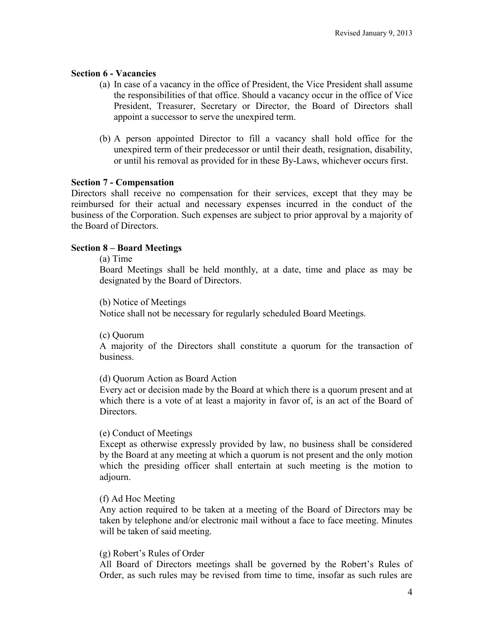## **Section 6 - Vacancies**

- (a) In case of a vacancy in the office of President, the Vice President shall assume the responsibilities of that office. Should a vacancy occur in the office of Vice President, Treasurer, Secretary or Director, the Board of Directors shall appoint a successor to serve the unexpired term.
- (b) A person appointed Director to fill a vacancy shall hold office for the unexpired term of their predecessor or until their death, resignation, disability, or until his removal as provided for in these By-Laws, whichever occurs first.

## **Section 7 - Compensation**

Directors shall receive no compensation for their services, except that they may be reimbursed for their actual and necessary expenses incurred in the conduct of the business of the Corporation. Such expenses are subject to prior approval by a majority of the Board of Directors.

## **Section 8 – Board Meetings**

#### (a) Time

Board Meetings shall be held monthly, at a date, time and place as may be designated by the Board of Directors.

#### (b) Notice of Meetings

Notice shall not be necessary for regularly scheduled Board Meetings.

## (c) Quorum

A majority of the Directors shall constitute a quorum for the transaction of business.

## (d) Quorum Action as Board Action

Every act or decision made by the Board at which there is a quorum present and at which there is a vote of at least a majority in favor of, is an act of the Board of **Directors** 

## (e) Conduct of Meetings

Except as otherwise expressly provided by law, no business shall be considered by the Board at any meeting at which a quorum is not present and the only motion which the presiding officer shall entertain at such meeting is the motion to adjourn.

## (f) Ad Hoc Meeting

Any action required to be taken at a meeting of the Board of Directors may be taken by telephone and/or electronic mail without a face to face meeting. Minutes will be taken of said meeting.

## (g) Robert's Rules of Order

All Board of Directors meetings shall be governed by the Robert's Rules of Order, as such rules may be revised from time to time, insofar as such rules are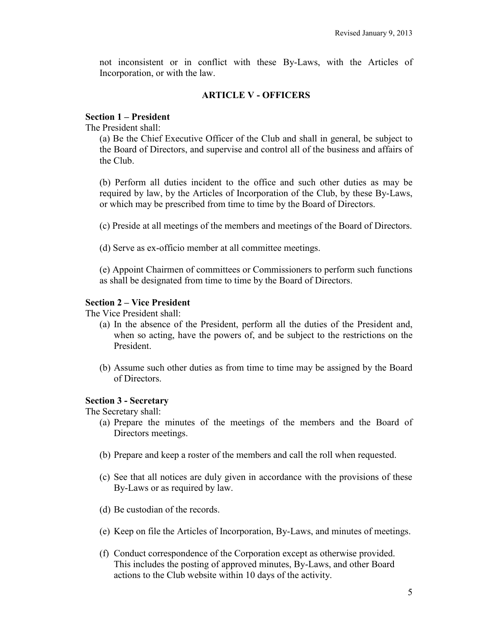not inconsistent or in conflict with these By-Laws, with the Articles of Incorporation, or with the law.

## **ARTICLE V - OFFICERS**

## **Section 1 – President**

The President shall:

(a) Be the Chief Executive Officer of the Club and shall in general, be subject to the Board of Directors, and supervise and control all of the business and affairs of the Club.

(b) Perform all duties incident to the office and such other duties as may be required by law, by the Articles of Incorporation of the Club, by these By-Laws, or which may be prescribed from time to time by the Board of Directors.

(c) Preside at all meetings of the members and meetings of the Board of Directors.

(d) Serve as ex-officio member at all committee meetings.

(e) Appoint Chairmen of committees or Commissioners to perform such functions as shall be designated from time to time by the Board of Directors.

## **Section 2 – Vice President**

The Vice President shall:

- (a) In the absence of the President, perform all the duties of the President and, when so acting, have the powers of, and be subject to the restrictions on the President.
- (b) Assume such other duties as from time to time may be assigned by the Board of Directors.

## **Section 3 - Secretary**

The Secretary shall:

- (a) Prepare the minutes of the meetings of the members and the Board of Directors meetings.
- (b) Prepare and keep a roster of the members and call the roll when requested.
- (c) See that all notices are duly given in accordance with the provisions of these By-Laws or as required by law.
- (d) Be custodian of the records.
- (e) Keep on file the Articles of Incorporation, By-Laws, and minutes of meetings.
- (f) Conduct correspondence of the Corporation except as otherwise provided. This includes the posting of approved minutes, By-Laws, and other Board actions to the Club website within 10 days of the activity.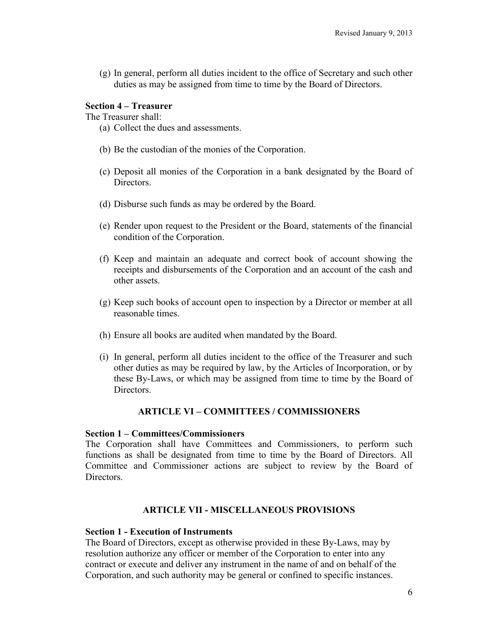(g) In general, perform all duties incident to the office of Secretary and such other duties as may be assigned from time to time by the Board of Directors.

## **Section 4 – Treasurer**

The Treasurer shall:

- (a) Collect the dues and assessments.
- (b) Be the custodian of the monies of the Corporation.
- (c) Deposit all monies of the Corporation in a bank designated by the Board of Directors.
- (d) Disburse such funds as may be ordered by the Board.
- (e) Render upon request to the President or the Board, statements of the financial condition of the Corporation.
- (f) Keep and maintain an adequate and correct book of account showing the receipts and disbursements of the Corporation and an account of the cash and other assets.
- (g) Keep such books of account open to inspection by a Director or member at all reasonable times.
- (h) Ensure all books are audited when mandated by the Board.
- (i) In general, perform all duties incident to the office of the Treasurer and such other duties as may be required by law, by the Articles of Incorporation, or by these By-Laws, or which may be assigned from time to time by the Board of **Directors**

## **ARTICLE VI – COMMITTEES / COMMISSIONERS**

#### **Section 1 – Committees/Commissioners**

The Corporation shall have Committees and Commissioners, to perform such functions as shall be designated from time to time by the Board of Directors. All Committee and Commissioner actions are subject to review by the Board of Directors.

## **ARTICLE VII - MISCELLANEOUS PROVISIONS**

#### **Section 1 - Execution of Instruments**

The Board of Directors, except as otherwise provided in these By-Laws, may by resolution authorize any officer or member of the Corporation to enter into any contract or execute and deliver any instrument in the name of and on behalf of the Corporation, and such authority may be general or confined to specific instances.